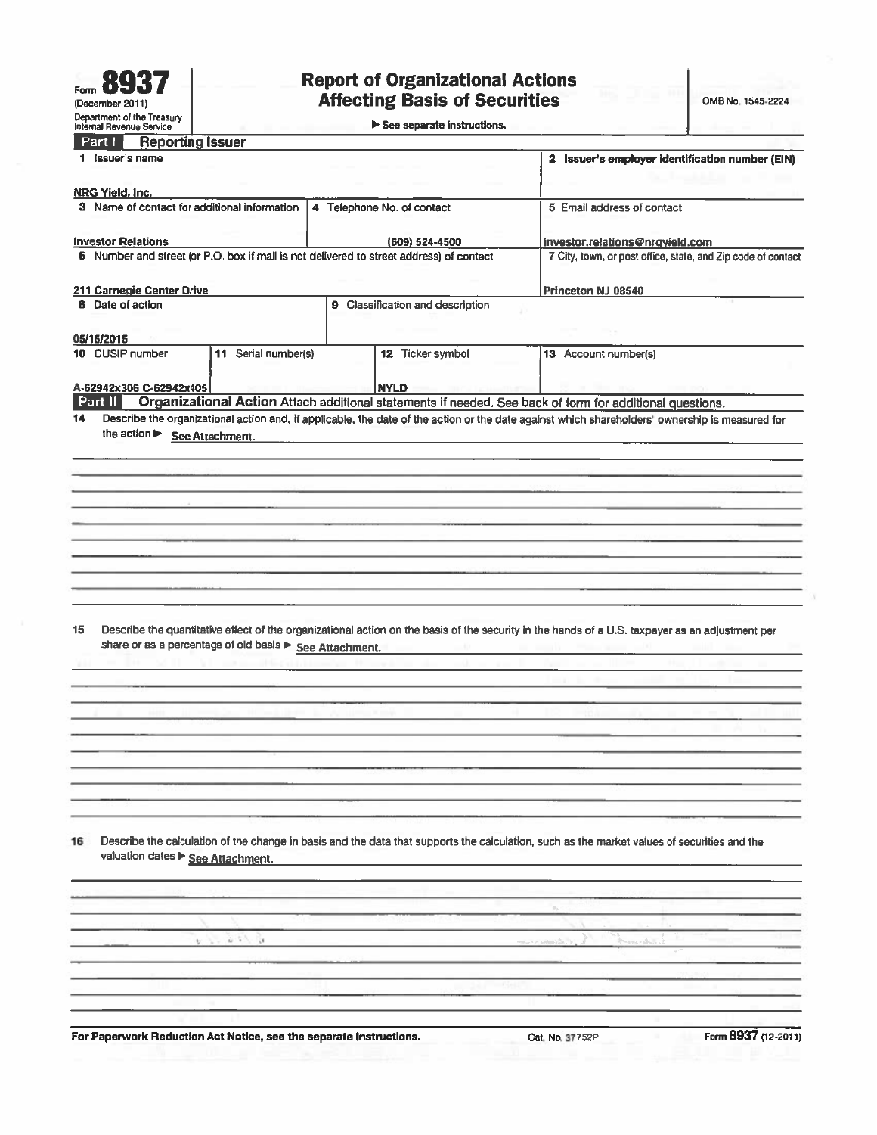See separate instructions.

| 1 Issuer's name                              |                                                         |                                                                                         |                                                                                                                                                                                                                    |
|----------------------------------------------|---------------------------------------------------------|-----------------------------------------------------------------------------------------|--------------------------------------------------------------------------------------------------------------------------------------------------------------------------------------------------------------------|
|                                              |                                                         | 2 Issuer's employer identification number (EIN)                                         |                                                                                                                                                                                                                    |
| NRG Yield, Inc.                              |                                                         |                                                                                         |                                                                                                                                                                                                                    |
| 3 Name of contact for additional information |                                                         | 4 Telephone No. of contact                                                              | 5 Ernail address of contact                                                                                                                                                                                        |
| <b>Investor Relations</b>                    |                                                         | (609) 524-4500                                                                          | investor.relations@nrgyield.com                                                                                                                                                                                    |
|                                              |                                                         | 6 Number and street (or P.O. box if mall is not delivered to street address) of contact | 7 City, town, or post office, state, and Zip code of contact                                                                                                                                                       |
| 211 Carnegie Center Drive                    |                                                         |                                                                                         | Princeton NJ 08540                                                                                                                                                                                                 |
| 8 Date of action                             |                                                         | 9 Classification and description                                                        |                                                                                                                                                                                                                    |
|                                              |                                                         |                                                                                         |                                                                                                                                                                                                                    |
| 05/15/2015                                   |                                                         |                                                                                         |                                                                                                                                                                                                                    |
| 10 CUSIP number                              | 11 Serial number(s)                                     | 12 Ticker symbol                                                                        | 13 Account number(s)                                                                                                                                                                                               |
| A-62942x306 C-62942x405                      |                                                         | <b>NYLD</b>                                                                             |                                                                                                                                                                                                                    |
| Part II                                      |                                                         |                                                                                         | Organizational Action Attach additional statements if needed. See back of form for additional questions.                                                                                                           |
| the action > See Attachment.                 |                                                         |                                                                                         |                                                                                                                                                                                                                    |
|                                              |                                                         |                                                                                         |                                                                                                                                                                                                                    |
|                                              |                                                         |                                                                                         |                                                                                                                                                                                                                    |
|                                              |                                                         |                                                                                         |                                                                                                                                                                                                                    |
|                                              |                                                         |                                                                                         |                                                                                                                                                                                                                    |
|                                              |                                                         |                                                                                         |                                                                                                                                                                                                                    |
|                                              |                                                         |                                                                                         |                                                                                                                                                                                                                    |
| 15                                           | share or as a percentage of old basis > See Attachment. |                                                                                         | Describe the quantitative effect of the organizational action on the basis of the security in the hands of a U.S. taxpayer as an adjustment per<br>the company of the company of the company of the company of the |
|                                              |                                                         |                                                                                         |                                                                                                                                                                                                                    |
|                                              |                                                         |                                                                                         |                                                                                                                                                                                                                    |
|                                              |                                                         |                                                                                         |                                                                                                                                                                                                                    |
| 16<br>valuation dates > See Attachment.      |                                                         |                                                                                         | Describe the calculation of the change in basis and the data that supports the calculation, such as the market values of securities and the                                                                        |
|                                              |                                                         |                                                                                         |                                                                                                                                                                                                                    |
|                                              |                                                         |                                                                                         |                                                                                                                                                                                                                    |
|                                              | $0.77 - 0.$<br>かぶ                                       |                                                                                         | Donate Library                                                                                                                                                                                                     |
|                                              |                                                         |                                                                                         |                                                                                                                                                                                                                    |
|                                              |                                                         |                                                                                         |                                                                                                                                                                                                                    |
|                                              |                                                         |                                                                                         |                                                                                                                                                                                                                    |
|                                              |                                                         |                                                                                         | Form 8937 (12-2011)                                                                                                                                                                                                |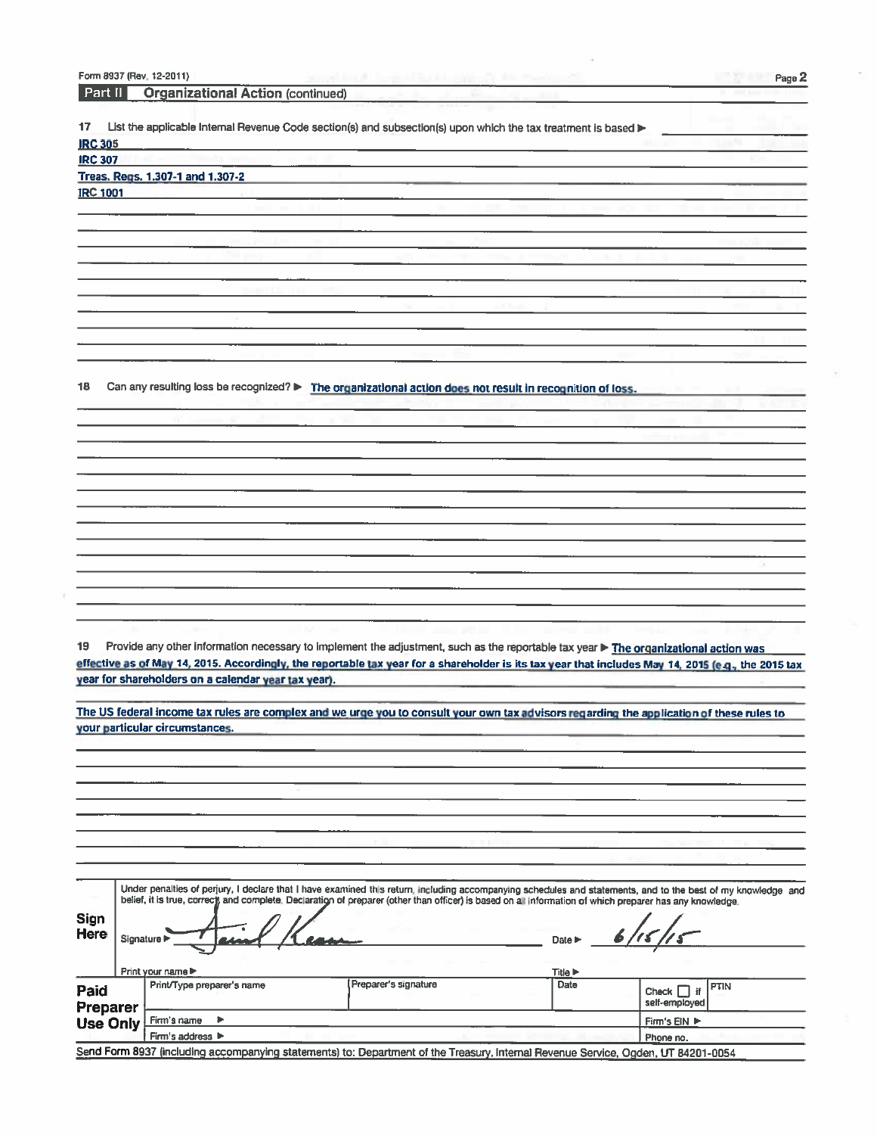|                 | Form 8937 (Rev. 12-2011)                            |                                                                                                                                                              |                            | Page 2                         |
|-----------------|-----------------------------------------------------|--------------------------------------------------------------------------------------------------------------------------------------------------------------|----------------------------|--------------------------------|
| Part II         | <b>Organizational Action (continued)</b>            |                                                                                                                                                              |                            |                                |
|                 |                                                     |                                                                                                                                                              |                            |                                |
| 17              |                                                     | List the applicable Internal Revenue Code section(s) and subsection(s) upon which the tax treatment is based >                                               |                            |                                |
| <b>IRC 305</b>  |                                                     |                                                                                                                                                              |                            |                                |
| <b>IRC 307</b>  |                                                     |                                                                                                                                                              |                            |                                |
|                 | Treas. Regs. 1.307-1 and 1.307-2                    |                                                                                                                                                              |                            |                                |
| <b>IRC 1001</b> |                                                     |                                                                                                                                                              |                            |                                |
|                 |                                                     |                                                                                                                                                              |                            |                                |
|                 |                                                     |                                                                                                                                                              |                            |                                |
|                 |                                                     |                                                                                                                                                              |                            |                                |
|                 |                                                     |                                                                                                                                                              |                            |                                |
|                 |                                                     |                                                                                                                                                              |                            |                                |
|                 |                                                     |                                                                                                                                                              |                            |                                |
|                 |                                                     |                                                                                                                                                              |                            |                                |
|                 |                                                     |                                                                                                                                                              |                            |                                |
|                 |                                                     |                                                                                                                                                              |                            |                                |
|                 |                                                     |                                                                                                                                                              |                            |                                |
|                 |                                                     |                                                                                                                                                              |                            |                                |
| 18              |                                                     |                                                                                                                                                              |                            |                                |
|                 |                                                     | Can any resulting loss be recognized? > The organizational action does not result in recognition of loss.                                                    |                            |                                |
|                 |                                                     |                                                                                                                                                              |                            |                                |
|                 |                                                     |                                                                                                                                                              |                            |                                |
|                 |                                                     |                                                                                                                                                              |                            |                                |
|                 |                                                     |                                                                                                                                                              |                            |                                |
|                 |                                                     |                                                                                                                                                              |                            |                                |
|                 |                                                     |                                                                                                                                                              |                            |                                |
|                 |                                                     |                                                                                                                                                              |                            |                                |
|                 |                                                     |                                                                                                                                                              |                            |                                |
|                 |                                                     |                                                                                                                                                              |                            |                                |
|                 |                                                     |                                                                                                                                                              |                            |                                |
|                 |                                                     |                                                                                                                                                              |                            |                                |
|                 |                                                     |                                                                                                                                                              |                            |                                |
|                 |                                                     |                                                                                                                                                              |                            |                                |
|                 |                                                     |                                                                                                                                                              |                            |                                |
|                 |                                                     |                                                                                                                                                              |                            |                                |
| 19              |                                                     | Provide any other information necessary to implement the adjustment, such as the reportable tax year ▶ The organizational action was                         |                            |                                |
|                 |                                                     | effective as of May 14, 2015. Accordingly, the reportable tax year for a shareholder is its tax year that includes May 14, 2015 (e.g., the 2015 tax          |                            |                                |
|                 | year for shareholders on a calendar year tax year). |                                                                                                                                                              |                            |                                |
|                 |                                                     |                                                                                                                                                              |                            |                                |
|                 |                                                     |                                                                                                                                                              |                            |                                |
|                 |                                                     | The US federal income tax rules are complex and we urge you to consult your own tax advisors regarding the application of these rules to                     |                            |                                |
|                 | your particular circumstances.                      |                                                                                                                                                              |                            |                                |
|                 |                                                     |                                                                                                                                                              |                            |                                |
|                 |                                                     |                                                                                                                                                              |                            |                                |
|                 |                                                     |                                                                                                                                                              |                            |                                |
|                 |                                                     |                                                                                                                                                              |                            |                                |
|                 |                                                     |                                                                                                                                                              |                            |                                |
|                 |                                                     |                                                                                                                                                              |                            |                                |
|                 |                                                     |                                                                                                                                                              |                            |                                |
|                 |                                                     |                                                                                                                                                              |                            |                                |
|                 |                                                     |                                                                                                                                                              |                            |                                |
|                 |                                                     | Under penalties of perjury, I declare that I have examined this return, including accompanying schedules and statements, and to the best of my knowledge and |                            |                                |
|                 |                                                     | belief, it is true, correct, and complete. Declaration of preparer (other than officer) is based on all information of which preparer has any knowledge.     |                            |                                |
| <b>Sign</b>     |                                                     |                                                                                                                                                              |                            |                                |
| <b>Here</b>     |                                                     |                                                                                                                                                              |                            |                                |
|                 | Signature I                                         |                                                                                                                                                              | Date $\blacktriangleright$ |                                |
|                 |                                                     |                                                                                                                                                              |                            |                                |
|                 | Print your name ▶                                   | Preparer's signature                                                                                                                                         | <b>Title ▶</b>             |                                |
| Paid            | Print/Type preparer's name                          |                                                                                                                                                              | Date                       | <b>PTIN</b><br>Check $\Box$ if |
| Preparer        |                                                     |                                                                                                                                                              |                            | self-employed                  |
| <b>Use Only</b> | Firm's name<br>٠                                    |                                                                                                                                                              |                            | Firm's EIN F                   |
|                 | Firm's address ▶                                    |                                                                                                                                                              |                            | Phone no.                      |

Form 8937 (Rev. 12-2011)

n.

Send Form 8937 (including accompanying statements) to: Department of the Treasury, Internal Revenue Service, Ogden, UT 84201-0054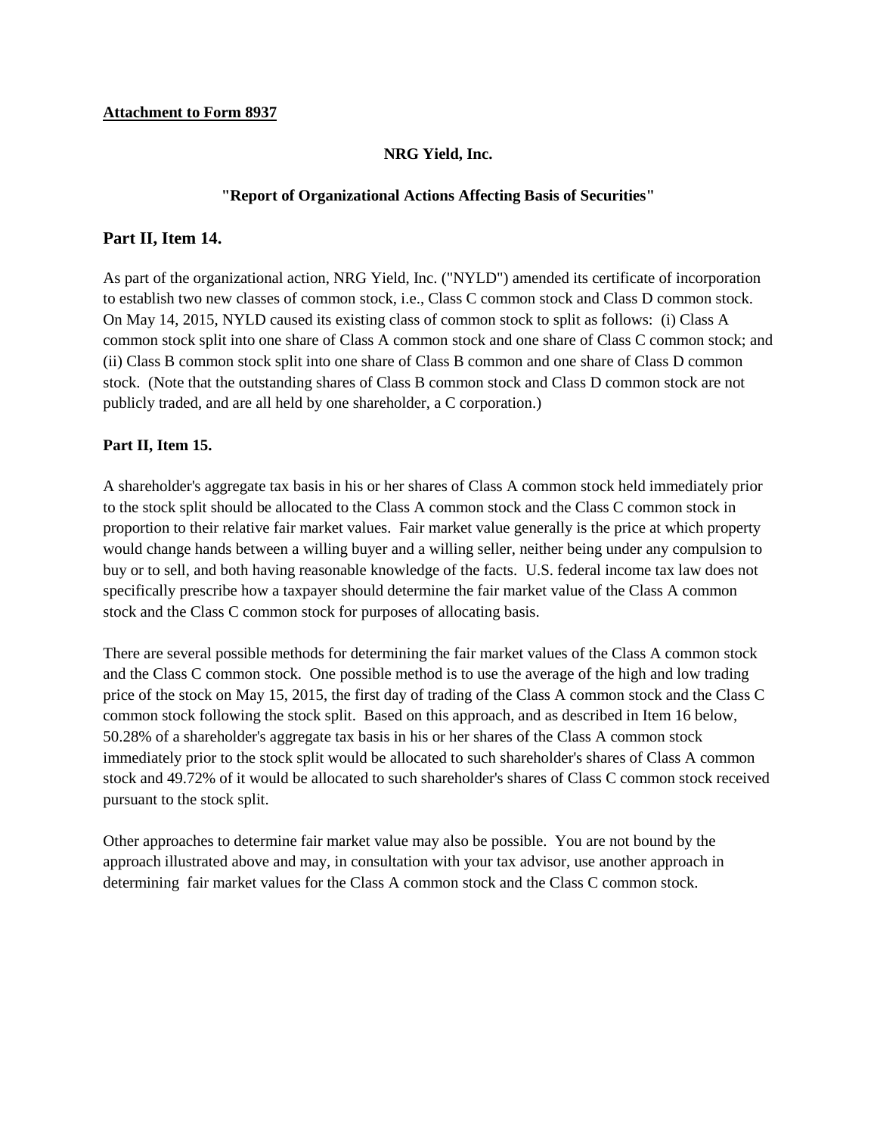### **Attachment to Form 8937**

## **NRG Yield, Inc.**

### **"Report of Organizational Actions Affecting Basis of Securities"**

# **Part II, Item 14.**

As part of the organizational action, NRG Yield, Inc. ("NYLD") amended its certificate of incorporation to establish two new classes of common stock, i.e., Class C common stock and Class D common stock. On May 14, 2015, NYLD caused its existing class of common stock to split as follows: (i) Class A common stock split into one share of Class A common stock and one share of Class C common stock; and (ii) Class B common stock split into one share of Class B common and one share of Class D common stock. (Note that the outstanding shares of Class B common stock and Class D common stock are not publicly traded, and are all held by one shareholder, a C corporation.)

# **Part II, Item 15.**

A shareholder's aggregate tax basis in his or her shares of Class A common stock held immediately prior to the stock split should be allocated to the Class A common stock and the Class C common stock in proportion to their relative fair market values. Fair market value generally is the price at which property would change hands between a willing buyer and a willing seller, neither being under any compulsion to buy or to sell, and both having reasonable knowledge of the facts. U.S. federal income tax law does not specifically prescribe how a taxpayer should determine the fair market value of the Class A common stock and the Class C common stock for purposes of allocating basis.

There are several possible methods for determining the fair market values of the Class A common stock and the Class C common stock. One possible method is to use the average of the high and low trading price of the stock on May 15, 2015, the first day of trading of the Class A common stock and the Class C common stock following the stock split. Based on this approach, and as described in Item 16 below, 50.28% of a shareholder's aggregate tax basis in his or her shares of the Class A common stock immediately prior to the stock split would be allocated to such shareholder's shares of Class A common stock and 49.72% of it would be allocated to such shareholder's shares of Class C common stock received pursuant to the stock split.

Other approaches to determine fair market value may also be possible. You are not bound by the approach illustrated above and may, in consultation with your tax advisor, use another approach in determining fair market values for the Class A common stock and the Class C common stock.